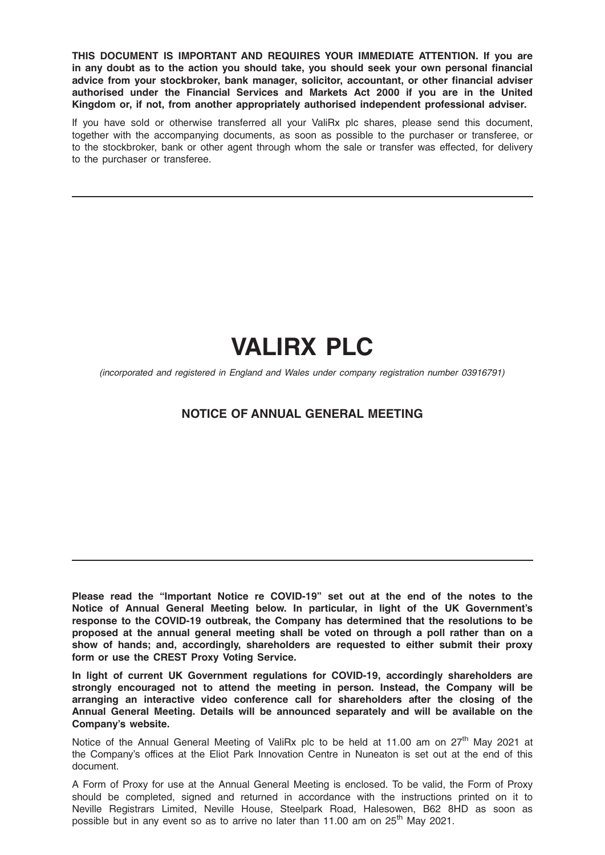THIS DOCUMENT IS IMPORTANT AND REQUIRES YOUR IMMEDIATE ATTENTION. If you are in any doubt as to the action you should take, you should seek your own personal financial advice from your stockbroker, bank manager, solicitor, accountant, or other financial adviser authorised under the Financial Services and Markets Act 2000 if you are in the United Kingdom or, if not, from another appropriately authorised independent professional adviser.

If you have sold or otherwise transferred all your ValiRx plc shares, please send this document, together with the accompanying documents, as soon as possible to the purchaser or transferee, or to the stockbroker, bank or other agent through whom the sale or transfer was effected, for delivery to the purchaser or transferee.

# VALIRX PLC

(incorporated and registered in England and Wales under company registration number 03916791)

## NOTICE OF ANNUAL GENERAL MEETING

Please read the "Important Notice re COVID-19" set out at the end of the notes to the Notice of Annual General Meeting below. In particular, in light of the UK Government's response to the COVID-19 outbreak, the Company has determined that the resolutions to be proposed at the annual general meeting shall be voted on through a poll rather than on a show of hands; and, accordingly, shareholders are requested to either submit their proxy form or use the CREST Proxy Voting Service.

In light of current UK Government regulations for COVID-19, accordingly shareholders are strongly encouraged not to attend the meeting in person. Instead, the Company will be arranging an interactive video conference call for shareholders after the closing of the Annual General Meeting. Details will be announced separately and will be available on the Company's website.

Notice of the Annual General Meeting of ValiRx plc to be held at 11.00 am on 27<sup>th</sup> May 2021 at the Company's offices at the Eliot Park Innovation Centre in Nuneaton is set out at the end of this document.

A Form of Proxy for use at the Annual General Meeting is enclosed. To be valid, the Form of Proxy should be completed, signed and returned in accordance with the instructions printed on it to Neville Registrars Limited, Neville House, Steelpark Road, Halesowen, B62 8HD as soon as possible but in any event so as to arrive no later than 11.00 am on 25<sup>th</sup> Mav 2021.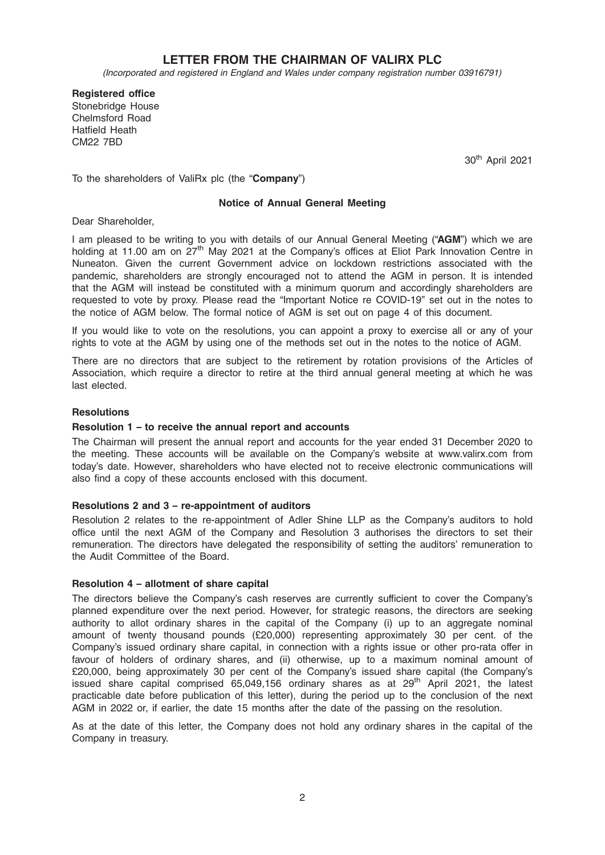## LETTER FROM THE CHAIRMAN OF VALIRX PLC

(Incorporated and registered in England and Wales under company registration number 03916791)

Registered office Stonebridge House Chelmsford Road Hatfield Heath CM22 7BD

30th April 2021

To the shareholders of ValiRx plc (the "Company")

### Notice of Annual General Meeting

Dear Shareholder,

I am pleased to be writing to you with details of our Annual General Meeting ("AGM") which we are holding at 11.00 am on 27<sup>th</sup> May 2021 at the Company's offices at Eliot Park Innovation Centre in Nuneaton. Given the current Government advice on lockdown restrictions associated with the pandemic, shareholders are strongly encouraged not to attend the AGM in person. It is intended that the AGM will instead be constituted with a minimum quorum and accordingly shareholders are requested to vote by proxy. Please read the "Important Notice re COVID-19" set out in the notes to the notice of AGM below. The formal notice of AGM is set out on page 4 of this document.

If you would like to vote on the resolutions, you can appoint a proxy to exercise all or any of your rights to vote at the AGM by using one of the methods set out in the notes to the notice of AGM.

There are no directors that are subject to the retirement by rotation provisions of the Articles of Association, which require a director to retire at the third annual general meeting at which he was last elected.

#### **Resolutions**

#### Resolution 1 – to receive the annual report and accounts

The Chairman will present the annual report and accounts for the year ended 31 December 2020 to the meeting. These accounts will be available on the Company's website at www.valirx.com from today's date. However, shareholders who have elected not to receive electronic communications will also find a copy of these accounts enclosed with this document.

#### Resolutions 2 and 3 – re-appointment of auditors

Resolution 2 relates to the re-appointment of Adler Shine LLP as the Company's auditors to hold office until the next AGM of the Company and Resolution 3 authorises the directors to set their remuneration. The directors have delegated the responsibility of setting the auditors' remuneration to the Audit Committee of the Board.

#### Resolution 4 – allotment of share capital

The directors believe the Company's cash reserves are currently sufficient to cover the Company's planned expenditure over the next period. However, for strategic reasons, the directors are seeking authority to allot ordinary shares in the capital of the Company (i) up to an aggregate nominal amount of twenty thousand pounds (£20,000) representing approximately 30 per cent. of the Company's issued ordinary share capital, in connection with a rights issue or other pro-rata offer in favour of holders of ordinary shares, and (ii) otherwise, up to a maximum nominal amount of £20,000, being approximately 30 per cent of the Company's issued share capital (the Company's issued share capital comprised 65,049,156 ordinary shares as at 29<sup>th</sup> April 2021, the latest practicable date before publication of this letter), during the period up to the conclusion of the next AGM in 2022 or, if earlier, the date 15 months after the date of the passing on the resolution.

As at the date of this letter, the Company does not hold any ordinary shares in the capital of the Company in treasury.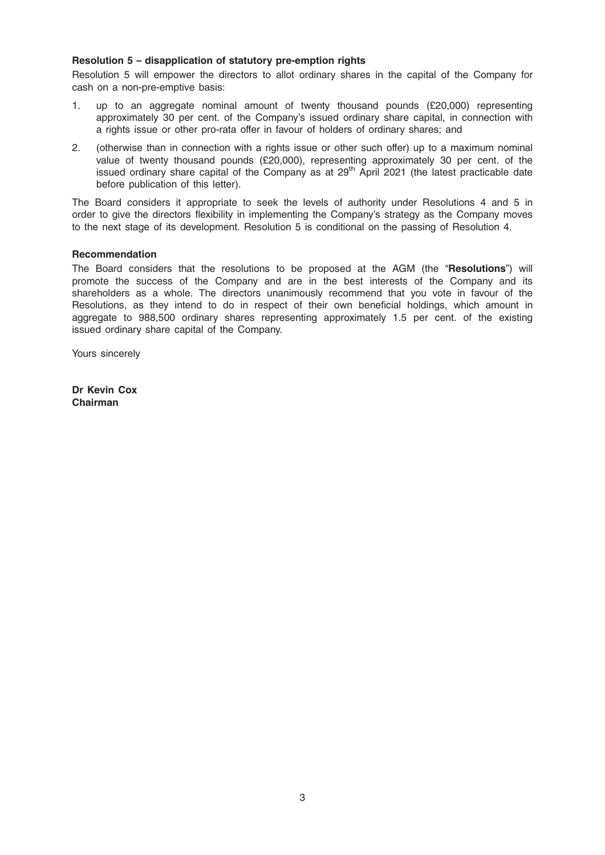## Resolution 5 – disapplication of statutory pre-emption rights

Resolution 5 will empower the directors to allot ordinary shares in the capital of the Company for cash on a non-pre-emptive basis:

- 1. up to an aggregate nominal amount of twenty thousand pounds (£20,000) representing approximately 30 per cent. of the Company's issued ordinary share capital, in connection with a rights issue or other pro-rata offer in favour of holders of ordinary shares; and
- 2. (otherwise than in connection with a rights issue or other such offer) up to a maximum nominal value of twenty thousand pounds (£20,000), representing approximately 30 per cent. of the issued ordinary share capital of the Company as at 29<sup>th</sup> April 2021 (the latest practicable date before publication of this letter).

The Board considers it appropriate to seek the levels of authority under Resolutions 4 and 5 in order to give the directors flexibility in implementing the Company's strategy as the Company moves to the next stage of its development. Resolution 5 is conditional on the passing of Resolution 4.

## Recommendation

The Board considers that the resolutions to be proposed at the AGM (the "Resolutions") will promote the success of the Company and are in the best interests of the Company and its shareholders as a whole. The directors unanimously recommend that you vote in favour of the Resolutions, as they intend to do in respect of their own beneficial holdings, which amount in aggregate to 988,500 ordinary shares representing approximately 1.5 per cent. of the existing issued ordinary share capital of the Company.

Yours sincerely

Dr Kevin Cox Chairman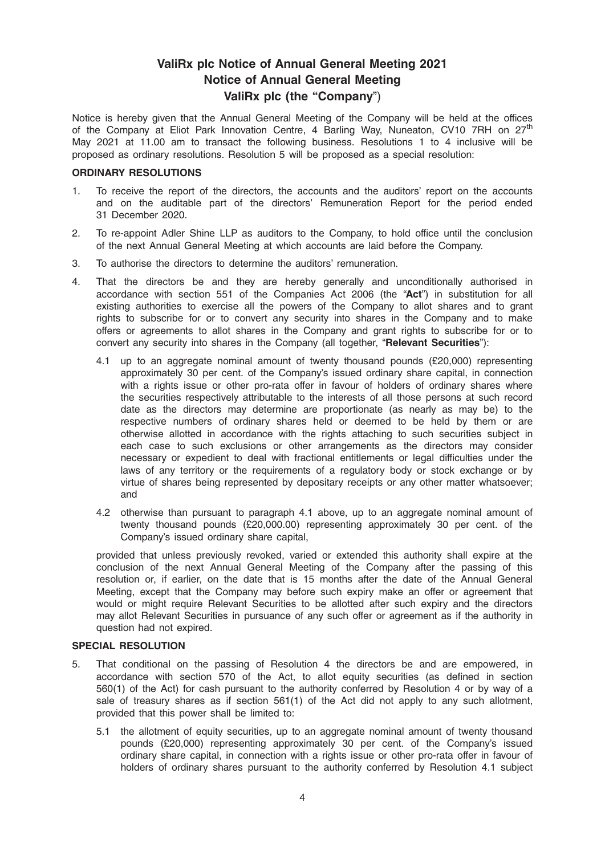# ValiRx plc Notice of Annual General Meeting 2021 Notice of Annual General Meeting ValiRx plc (the "Company")

Notice is hereby given that the Annual General Meeting of the Company will be held at the offices of the Company at Eliot Park Innovation Centre, 4 Barling Way, Nuneaton, CV10 7RH on 27<sup>th</sup> May 2021 at 11.00 am to transact the following business. Resolutions 1 to 4 inclusive will be proposed as ordinary resolutions. Resolution 5 will be proposed as a special resolution:

## ORDINARY RESOLUTIONS

- 1. To receive the report of the directors, the accounts and the auditors' report on the accounts and on the auditable part of the directors' Remuneration Report for the period ended 31 December 2020.
- 2. To re-appoint Adler Shine LLP as auditors to the Company, to hold office until the conclusion of the next Annual General Meeting at which accounts are laid before the Company.
- 3. To authorise the directors to determine the auditors' remuneration.
- 4. That the directors be and they are hereby generally and unconditionally authorised in accordance with section 551 of the Companies Act 2006 (the "Act") in substitution for all existing authorities to exercise all the powers of the Company to allot shares and to grant rights to subscribe for or to convert any security into shares in the Company and to make offers or agreements to allot shares in the Company and grant rights to subscribe for or to convert any security into shares in the Company (all together, "Relevant Securities"):
	- 4.1 up to an aggregate nominal amount of twenty thousand pounds (£20,000) representing approximately 30 per cent. of the Company's issued ordinary share capital, in connection with a rights issue or other pro-rata offer in favour of holders of ordinary shares where the securities respectively attributable to the interests of all those persons at such record date as the directors may determine are proportionate (as nearly as may be) to the respective numbers of ordinary shares held or deemed to be held by them or are otherwise allotted in accordance with the rights attaching to such securities subject in each case to such exclusions or other arrangements as the directors may consider necessary or expedient to deal with fractional entitlements or legal difficulties under the laws of any territory or the requirements of a regulatory body or stock exchange or by virtue of shares being represented by depositary receipts or any other matter whatsoever; and
	- 4.2 otherwise than pursuant to paragraph 4.1 above, up to an aggregate nominal amount of twenty thousand pounds (£20,000.00) representing approximately 30 per cent. of the Company's issued ordinary share capital,

provided that unless previously revoked, varied or extended this authority shall expire at the conclusion of the next Annual General Meeting of the Company after the passing of this resolution or, if earlier, on the date that is 15 months after the date of the Annual General Meeting, except that the Company may before such expiry make an offer or agreement that would or might require Relevant Securities to be allotted after such expiry and the directors may allot Relevant Securities in pursuance of any such offer or agreement as if the authority in question had not expired.

## SPECIAL RESOLUTION

- 5. That conditional on the passing of Resolution 4 the directors be and are empowered, in accordance with section 570 of the Act, to allot equity securities (as defined in section 560(1) of the Act) for cash pursuant to the authority conferred by Resolution 4 or by way of a sale of treasury shares as if section 561(1) of the Act did not apply to any such allotment, provided that this power shall be limited to:
	- 5.1 the allotment of equity securities, up to an aggregate nominal amount of twenty thousand pounds (£20,000) representing approximately 30 per cent. of the Company's issued ordinary share capital, in connection with a rights issue or other pro-rata offer in favour of holders of ordinary shares pursuant to the authority conferred by Resolution 4.1 subject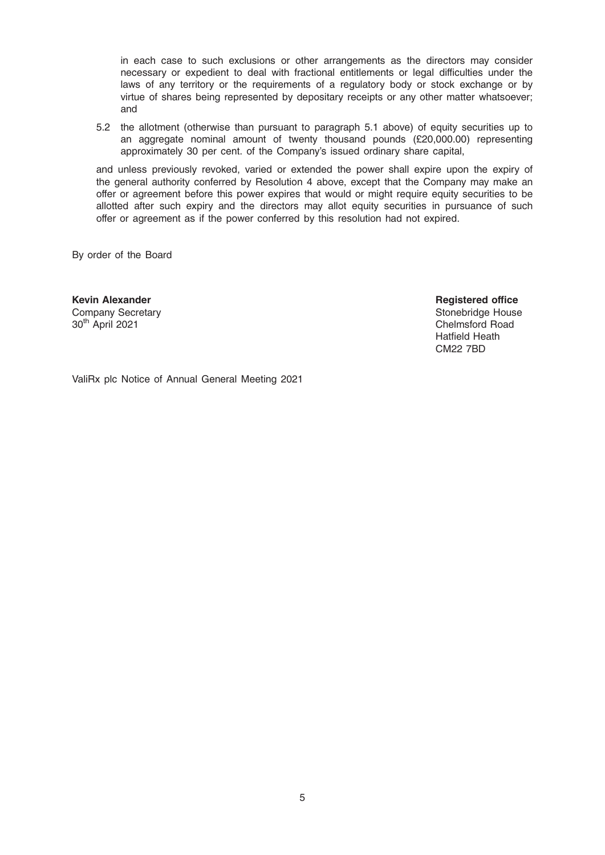in each case to such exclusions or other arrangements as the directors may consider necessary or expedient to deal with fractional entitlements or legal difficulties under the laws of any territory or the requirements of a regulatory body or stock exchange or by virtue of shares being represented by depositary receipts or any other matter whatsoever; and

5.2 the allotment (otherwise than pursuant to paragraph 5.1 above) of equity securities up to an aggregate nominal amount of twenty thousand pounds (£20,000.00) representing approximately 30 per cent. of the Company's issued ordinary share capital,

and unless previously revoked, varied or extended the power shall expire upon the expiry of the general authority conferred by Resolution 4 above, except that the Company may make an offer or agreement before this power expires that would or might require equity securities to be allotted after such expiry and the directors may allot equity securities in pursuance of such offer or agreement as if the power conferred by this resolution had not expired.

By order of the Board

Kevin Alexander Company Secretary 30th April 2021

Registered office Stonebridge House Chelmsford Road Hatfield Heath CM22 7BD

ValiRx plc Notice of Annual General Meeting 2021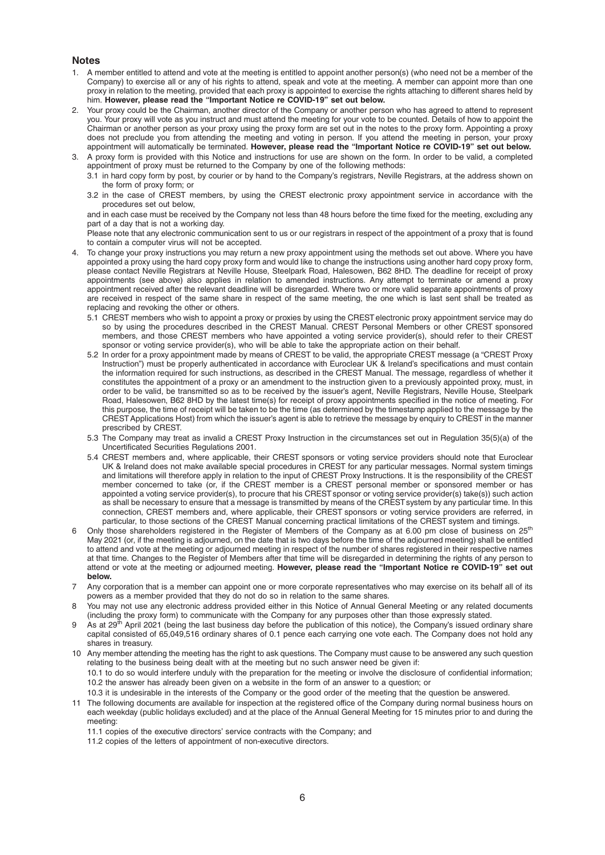#### **Notes**

- 1. A member entitled to attend and vote at the meeting is entitled to appoint another person(s) (who need not be a member of the Company) to exercise all or any of his rights to attend, speak and vote at the meeting. A member can appoint more than one proxy in relation to the meeting, provided that each proxy is appointed to exercise the rights attaching to different shares held by him. However, please read the "Important Notice re COVID-19" set out below.
- 2. Your proxy could be the Chairman, another director of the Company or another person who has agreed to attend to represent you. Your proxy will vote as you instruct and must attend the meeting for your vote to be counted. Details of how to appoint the Chairman or another person as your proxy using the proxy form are set out in the notes to the proxy form. Appointing a proxy does not preclude you from attending the meeting and voting in person. If you attend the meeting in person, your proxy appointment will automatically be terminated. However, please read the "Important Notice re COVID-19" set out below.
- 3. A proxy form is provided with this Notice and instructions for use are shown on the form. In order to be valid, a completed appointment of proxy must be returned to the Company by one of the following methods:
	- 3.1 in hard copy form by post, by courier or by hand to the Company's registrars, Neville Registrars, at the address shown on the form of proxy form; or
	- 3.2 in the case of CREST members, by using the CREST electronic proxy appointment service in accordance with the procedures set out below,

and in each case must be received by the Company not less than 48 hours before the time fixed for the meeting, excluding any part of a day that is not a working day.

Please note that any electronic communication sent to us or our registrars in respect of the appointment of a proxy that is found to contain a computer virus will not be accepted.

- 4. To change your proxy instructions you may return a new proxy appointment using the methods set out above. Where you have appointed a proxy using the hard copy proxy form and would like to change the instructions using another hard copy proxy form, please contact Neville Registrars at Neville House, Steelpark Road, Halesowen, B62 8HD. The deadline for receipt of proxy appointments (see above) also applies in relation to amended instructions. Any attempt to terminate or amend a proxy appointment received after the relevant deadline will be disregarded. Where two or more valid separate appointments of proxy are received in respect of the same share in respect of the same meeting, the one which is last sent shall be treated as replacing and revoking the other or others.
	- 5.1 CREST members who wish to appoint a proxy or proxies by using the CREST electronic proxy appointment service may do so by using the procedures described in the CREST Manual. CREST Personal Members or other CREST sponsored members, and those CREST members who have appointed a voting service provider(s), should refer to their CREST sponsor or voting service provider(s), who will be able to take the appropriate action on their behalf.
	- 5.2 In order for a proxy appointment made by means of CREST to be valid, the appropriate CREST message (a "CREST Proxy Instruction") must be properly authenticated in accordance with Euroclear UK & Ireland's specifications and must contain the information required for such instructions, as described in the CREST Manual. The message, regardless of whether it constitutes the appointment of a proxy or an amendment to the instruction given to a previously appointed proxy, must, in order to be valid, be transmitted so as to be received by the issuer's agent, Neville Registrars, Neville House, Steelpark Road, Halesowen, B62 8HD by the latest time(s) for receipt of proxy appointments specified in the notice of meeting. For this purpose, the time of receipt will be taken to be the time (as determined by the timestamp applied to the message by the CREST Applications Host) from which the issuer's agent is able to retrieve the message by enquiry to CREST in the manner prescribed by CREST.
	- 5.3 The Company may treat as invalid a CREST Proxy Instruction in the circumstances set out in Regulation 35(5)(a) of the Uncertificated Securities Regulations 2001.
	- 5.4 CREST members and, where applicable, their CREST sponsors or voting service providers should note that Euroclear UK & Ireland does not make available special procedures in CREST for any particular messages. Normal system timings and limitations will therefore apply in relation to the input of CREST Proxy Instructions. It is the responsibility of the CREST member concerned to take (or, if the CREST member is a CREST personal member or sponsored member or has appointed a voting service provider(s), to procure that his CREST sponsor or voting service provider(s) take(s)) such action as shall be necessary to ensure that a message is transmitted by means of the CREST system by any particular time. In this connection, CREST members and, where applicable, their CREST sponsors or voting service providers are referred, in particular, to those sections of the CREST Manual concerning practical limitations of the CREST system and timings.
- 6 Only those shareholders registered in the Register of Members of the Company as at 6.00 pm close of business on 25<sup>th</sup> May 2021 (or, if the meeting is adjourned, on the date that is two days before the time of the adjourned meeting) shall be entitled to attend and vote at the meeting or adjourned meeting in respect of the number of shares registered in their respective names at that time. Changes to the Register of Members after that time will be disregarded in determining the rights of any person to attend or vote at the meeting or adjourned meeting. However, please read the "Important Notice re COVID-19" set out below.
- 7 Any corporation that is a member can appoint one or more corporate representatives who may exercise on its behalf all of its powers as a member provided that they do not do so in relation to the same shares.
- 8 You may not use any electronic address provided either in this Notice of Annual General Meeting or any related documents (including the proxy form) to communicate with the Company for any purposes other than those expressly stated.
- 9 As at  $29<sup>th</sup>$  April 2021 (being the last business day before the publication of this notice), the Company's issued ordinary share capital consisted of 65,049,516 ordinary shares of 0.1 pence each carrying one vote each. The Company does not hold any shares in treasury.
- 10 Any member attending the meeting has the right to ask questions. The Company must cause to be answered any such question relating to the business being dealt with at the meeting but no such answer need be given if: 10.1 to do so would interfere unduly with the preparation for the meeting or involve the disclosure of confidential information; 10.2 the answer has already been given on a website in the form of an answer to a question; or
	- 10.3 it is undesirable in the interests of the Company or the good order of the meeting that the question be answered.
- 11 The following documents are available for inspection at the registered office of the Company during normal business hours on each weekday (public holidays excluded) and at the place of the Annual General Meeting for 15 minutes prior to and during the meeting:
	- 11.1 copies of the executive directors' service contracts with the Company; and
	- 11.2 copies of the letters of appointment of non-executive directors.